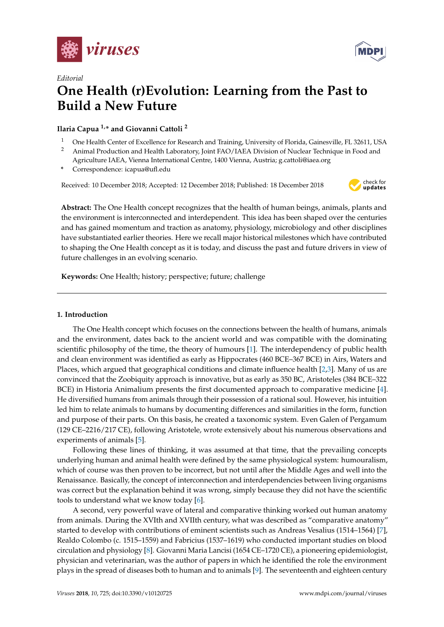



# *Editorial* **One Health (r)Evolution: Learning from the Past to Build a New Future**

**Ilaria Capua 1,\* and Giovanni Cattoli <sup>2</sup>**

- <sup>1</sup> One Health Center of Excellence for Research and Training, University of Florida, Gainesville, FL 32611, USA
- <sup>2</sup> Animal Production and Health Laboratory, Joint FAO/IAEA Division of Nuclear Technique in Food and Agriculture IAEA, Vienna International Centre, 1400 Vienna, Austria; g.cattoli@iaea.org
- **\*** Correspondence: icapua@ufl.edu

Received: 10 December 2018; Accepted: 12 December 2018; Published: 18 December 2018



**Abstract:** The One Health concept recognizes that the health of human beings, animals, plants and the environment is interconnected and interdependent. This idea has been shaped over the centuries and has gained momentum and traction as anatomy, physiology, microbiology and other disciplines have substantiated earlier theories. Here we recall major historical milestones which have contributed to shaping the One Health concept as it is today, and discuss the past and future drivers in view of future challenges in an evolving scenario.

**Keywords:** One Health; history; perspective; future; challenge

## **1. Introduction**

The One Health concept which focuses on the connections between the health of humans, animals and the environment, dates back to the ancient world and was compatible with the dominating scientific philosophy of the time, the theory of humours [\[1\]](#page-3-0). The interdependency of public health and clean environment was identified as early as Hippocrates (460 BCE–367 BCE) in Airs, Waters and Places, which argued that geographical conditions and climate influence health [\[2](#page-3-1)[,3\]](#page-3-2). Many of us are convinced that the Zoobiquity approach is innovative, but as early as 350 BC, Aristoteles (384 BCE–322 BCE) in Historia Animalium presents the first documented approach to comparative medicine [\[4\]](#page-3-3). He diversified humans from animals through their possession of a rational soul. However, his intuition led him to relate animals to humans by documenting differences and similarities in the form, function and purpose of their parts. On this basis, he created a taxonomic system. Even Galen of Pergamum (129 CE–2216/217 CE), following Aristotele, wrote extensively about his numerous observations and experiments of animals [\[5\]](#page-3-4).

Following these lines of thinking, it was assumed at that time, that the prevailing concepts underlying human and animal health were defined by the same physiological system: humouralism, which of course was then proven to be incorrect, but not until after the Middle Ages and well into the Renaissance. Basically, the concept of interconnection and interdependencies between living organisms was correct but the explanation behind it was wrong, simply because they did not have the scientific tools to understand what we know today [\[6\]](#page-3-5).

A second, very powerful wave of lateral and comparative thinking worked out human anatomy from animals. During the XVIth and XVIIth century, what was described as "comparative anatomy" started to develop with contributions of eminent scientists such as Andreas Vesalius (1514–1564) [\[7\]](#page-3-6), Realdo Colombo (c. 1515–1559) and Fabricius (1537–1619) who conducted important studies on blood circulation and physiology [\[8\]](#page-3-7). Giovanni Maria Lancisi (1654 CE–1720 CE), a pioneering epidemiologist, physician and veterinarian, was the author of papers in which he identified the role the environment plays in the spread of diseases both to human and to animals [\[9\]](#page-3-8). The seventeenth and eighteen century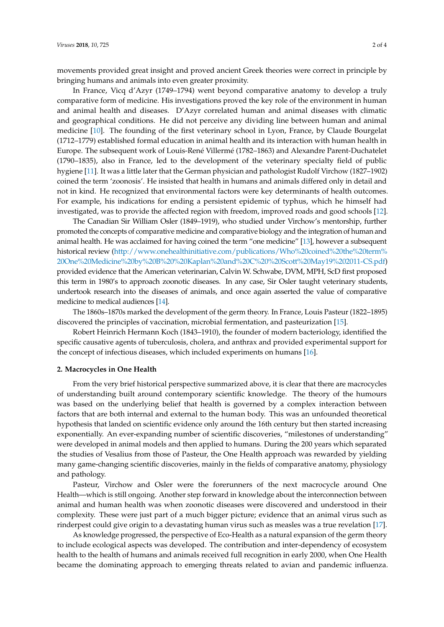movements provided great insight and proved ancient Greek theories were correct in principle by bringing humans and animals into even greater proximity.

In France, Vicq d'Azyr (1749–1794) went beyond comparative anatomy to develop a truly comparative form of medicine. His investigations proved the key role of the environment in human and animal health and diseases. D'Azyr correlated human and animal diseases with climatic and geographical conditions. He did not perceive any dividing line between human and animal medicine [\[10\]](#page-3-9). The founding of the first veterinary school in Lyon, France, by Claude Bourgelat (1712–1779) established formal education in animal health and its interaction with human health in Europe. The subsequent work of Louis-René Villermé (1782–1863) and Alexandre Parent-Duchatelet (1790–1835), also in France, led to the development of the veterinary specialty field of public hygiene [\[11\]](#page-3-10). It was a little later that the German physician and pathologist Rudolf Virchow (1827–1902) coined the term 'zoonosis'. He insisted that health in humans and animals differed only in detail and not in kind. He recognized that environmental factors were key determinants of health outcomes. For example, his indications for ending a persistent epidemic of typhus, which he himself had investigated, was to provide the affected region with freedom, improved roads and good schools [\[12\]](#page-3-11).

The Canadian Sir William Osler (1849–1919), who studied under Virchow's mentorship, further promoted the concepts of comparative medicine and comparative biology and the integration of human and animal health. He was acclaimed for having coined the term "one medicine" [\[13\]](#page-3-12), however a subsequent historical review [\(http://www.onehealthinitiative.com/publications/Who%20coined%20the%20term%](http://www.onehealthinitiative.com/publications/Who%20coined%20the%20term%20One%20Medicine%20by%20B%20%20Kaplan%20and%20C%20%20Scott%20May19%202011-CS.pdf) [20One%20Medicine%20by%20B%20%20Kaplan%20and%20C%20%20Scott%20May19%202011-CS.pdf\)](http://www.onehealthinitiative.com/publications/Who%20coined%20the%20term%20One%20Medicine%20by%20B%20%20Kaplan%20and%20C%20%20Scott%20May19%202011-CS.pdf) provided evidence that the American veterinarian, Calvin W. Schwabe, DVM, MPH, ScD first proposed this term in 1980's to approach zoonotic diseases. In any case, Sir Osler taught veterinary students, undertook research into the diseases of animals, and once again asserted the value of comparative medicine to medical audiences [\[14\]](#page-3-13).

The 1860s–1870s marked the development of the germ theory. In France, Louis Pasteur (1822–1895) discovered the principles of vaccination, microbial fermentation, and pasteurization [\[15\]](#page-3-14).

Robert Heinrich Hermann Koch (1843–1910), the founder of modern bacteriology, identified the specific causative agents of tuberculosis, cholera, and anthrax and provided experimental support for the concept of infectious diseases, which included experiments on humans [\[16\]](#page-3-15).

### **2. Macrocycles in One Health**

From the very brief historical perspective summarized above, it is clear that there are macrocycles of understanding built around contemporary scientific knowledge. The theory of the humours was based on the underlying belief that health is governed by a complex interaction between factors that are both internal and external to the human body. This was an unfounded theoretical hypothesis that landed on scientific evidence only around the 16th century but then started increasing exponentially. An ever-expanding number of scientific discoveries, "milestones of understanding" were developed in animal models and then applied to humans. During the 200 years which separated the studies of Vesalius from those of Pasteur, the One Health approach was rewarded by yielding many game-changing scientific discoveries, mainly in the fields of comparative anatomy, physiology and pathology.

Pasteur, Virchow and Osler were the forerunners of the next macrocycle around One Health—which is still ongoing. Another step forward in knowledge about the interconnection between animal and human health was when zoonotic diseases were discovered and understood in their complexity. These were just part of a much bigger picture; evidence that an animal virus such as rinderpest could give origin to a devastating human virus such as measles was a true revelation [\[17\]](#page-3-16).

As knowledge progressed, the perspective of Eco-Health as a natural expansion of the germ theory to include ecological aspects was developed. The contribution and inter-dependency of ecosystem health to the health of humans and animals received full recognition in early 2000, when One Health became the dominating approach to emerging threats related to avian and pandemic influenza.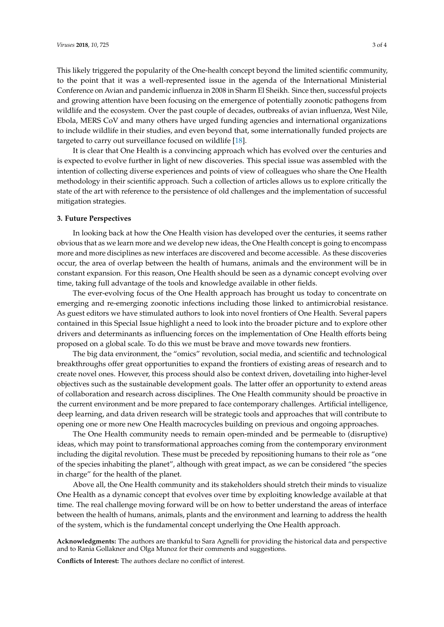This likely triggered the popularity of the One-health concept beyond the limited scientific community, to the point that it was a well-represented issue in the agenda of the International Ministerial Conference on Avian and pandemic influenza in 2008 in Sharm El Sheikh. Since then, successful projects and growing attention have been focusing on the emergence of potentially zoonotic pathogens from wildlife and the ecosystem. Over the past couple of decades, outbreaks of avian influenza, West Nile, Ebola, MERS CoV and many others have urged funding agencies and international organizations to include wildlife in their studies, and even beyond that, some internationally funded projects are targeted to carry out surveillance focused on wildlife [\[18\]](#page-3-17).

It is clear that One Health is a convincing approach which has evolved over the centuries and is expected to evolve further in light of new discoveries. This special issue was assembled with the intention of collecting diverse experiences and points of view of colleagues who share the One Health methodology in their scientific approach. Such a collection of articles allows us to explore critically the state of the art with reference to the persistence of old challenges and the implementation of successful mitigation strategies.

#### **3. Future Perspectives**

In looking back at how the One Health vision has developed over the centuries, it seems rather obvious that as we learn more and we develop new ideas, the One Health concept is going to encompass more and more disciplines as new interfaces are discovered and become accessible. As these discoveries occur, the area of overlap between the health of humans, animals and the environment will be in constant expansion. For this reason, One Health should be seen as a dynamic concept evolving over time, taking full advantage of the tools and knowledge available in other fields.

The ever-evolving focus of the One Health approach has brought us today to concentrate on emerging and re-emerging zoonotic infections including those linked to antimicrobial resistance. As guest editors we have stimulated authors to look into novel frontiers of One Health. Several papers contained in this Special Issue highlight a need to look into the broader picture and to explore other drivers and determinants as influencing forces on the implementation of One Health efforts being proposed on a global scale. To do this we must be brave and move towards new frontiers.

The big data environment, the "omics" revolution, social media, and scientific and technological breakthroughs offer great opportunities to expand the frontiers of existing areas of research and to create novel ones. However, this process should also be context driven, dovetailing into higher-level objectives such as the sustainable development goals. The latter offer an opportunity to extend areas of collaboration and research across disciplines. The One Health community should be proactive in the current environment and be more prepared to face contemporary challenges. Artificial intelligence, deep learning, and data driven research will be strategic tools and approaches that will contribute to opening one or more new One Health macrocycles building on previous and ongoing approaches.

The One Health community needs to remain open-minded and be permeable to (disruptive) ideas, which may point to transformational approaches coming from the contemporary environment including the digital revolution. These must be preceded by repositioning humans to their role as "one of the species inhabiting the planet", although with great impact, as we can be considered "the species in charge" for the health of the planet.

Above all, the One Health community and its stakeholders should stretch their minds to visualize One Health as a dynamic concept that evolves over time by exploiting knowledge available at that time. The real challenge moving forward will be on how to better understand the areas of interface between the health of humans, animals, plants and the environment and learning to address the health of the system, which is the fundamental concept underlying the One Health approach.

**Acknowledgments:** The authors are thankful to Sara Agnelli for providing the historical data and perspective and to Rania Gollakner and Olga Munoz for their comments and suggestions.

**Conflicts of Interest:** The authors declare no conflict of interest.